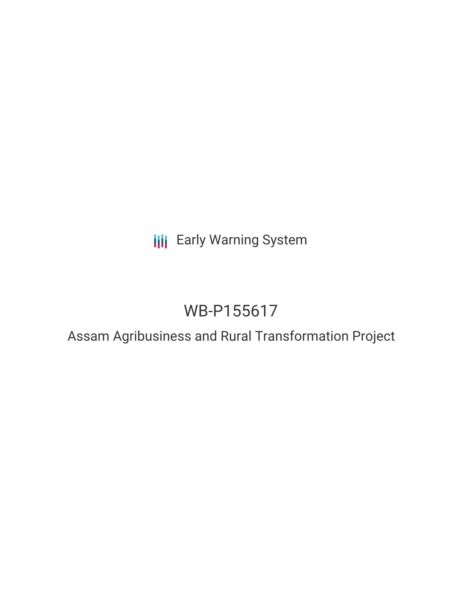## **III** Early Warning System

# WB-P155617

### Assam Agribusiness and Rural Transformation Project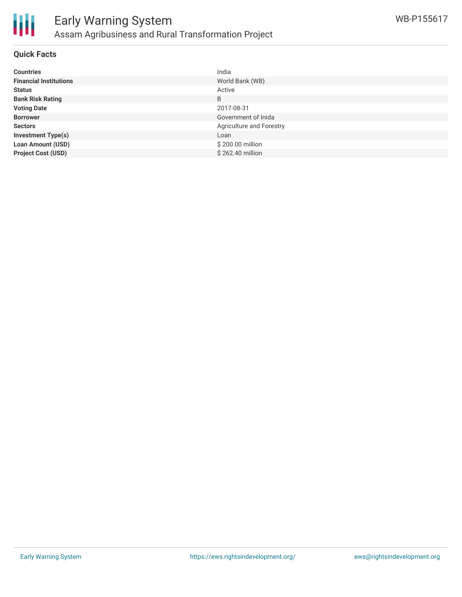

#### **Quick Facts**

| <b>Countries</b>              | India                    |
|-------------------------------|--------------------------|
| <b>Financial Institutions</b> | World Bank (WB)          |
| <b>Status</b>                 | Active                   |
| <b>Bank Risk Rating</b>       | B                        |
| <b>Voting Date</b>            | 2017-08-31               |
| <b>Borrower</b>               | Government of Inida      |
| <b>Sectors</b>                | Agriculture and Forestry |
| <b>Investment Type(s)</b>     | Loan                     |
| <b>Loan Amount (USD)</b>      | \$200.00 million         |
| <b>Project Cost (USD)</b>     | \$262.40 million         |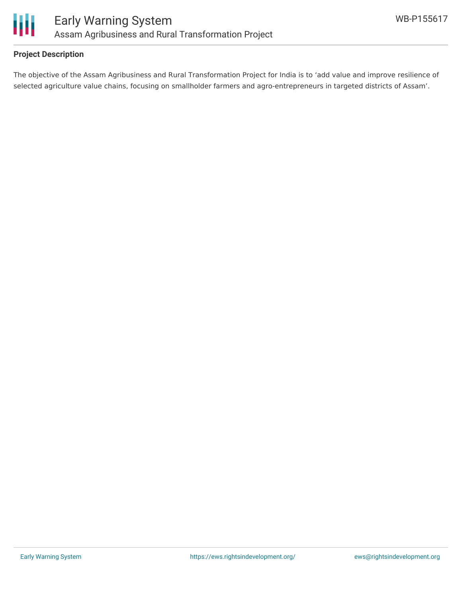

#### **Project Description**

The objective of the Assam Agribusiness and Rural Transformation Project for India is to 'add value and improve resilience of selected agriculture value chains, focusing on smallholder farmers and agro-entrepreneurs in targeted districts of Assam'.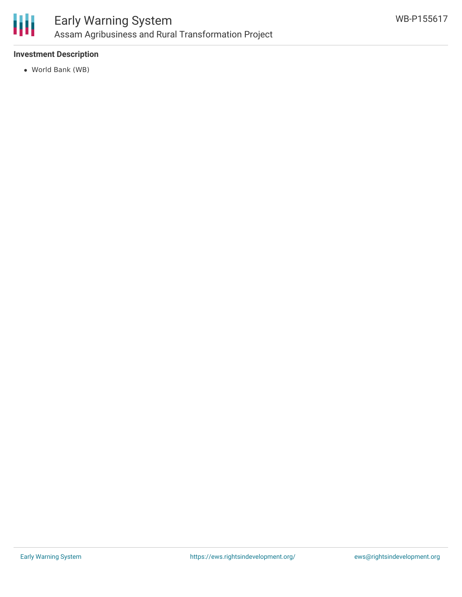

### Early Warning System Assam Agribusiness and Rural Transformation Project

#### **Investment Description**

World Bank (WB)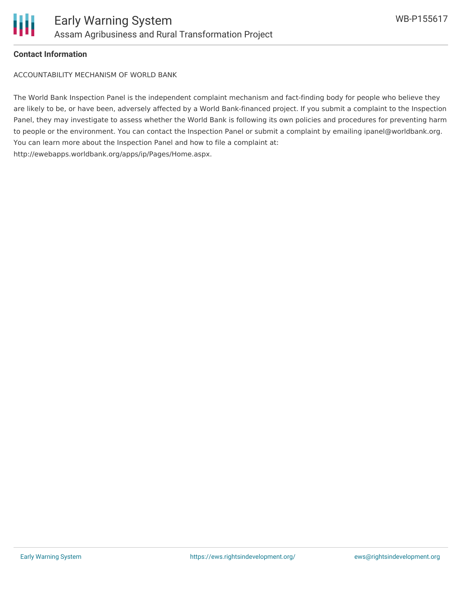

#### **Contact Information**

ACCOUNTABILITY MECHANISM OF WORLD BANK

The World Bank Inspection Panel is the independent complaint mechanism and fact-finding body for people who believe they are likely to be, or have been, adversely affected by a World Bank-financed project. If you submit a complaint to the Inspection Panel, they may investigate to assess whether the World Bank is following its own policies and procedures for preventing harm to people or the environment. You can contact the Inspection Panel or submit a complaint by emailing ipanel@worldbank.org. You can learn more about the Inspection Panel and how to file a complaint at: http://ewebapps.worldbank.org/apps/ip/Pages/Home.aspx.